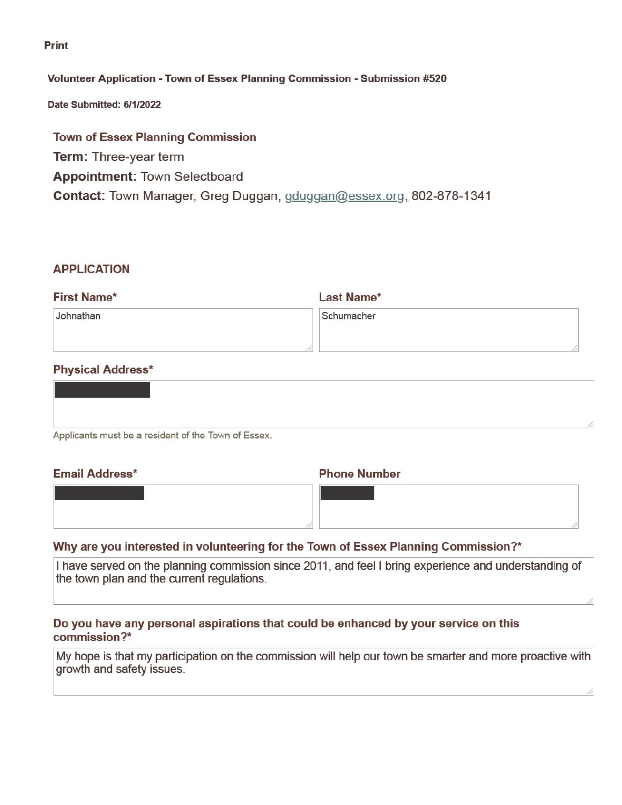**Print** 

### Volunteer Application - Town of Essex Planning Commission - Submission #520

Date Submitted: 6/1/2022

# **Town of Essex Planning Commission Term: Three-year term Appointment: Town Selectboard** Contact: Town Manager, Greg Duggan; gduggan@essex.org; 802-878-1341

### **APPLICATION**

| <b>First Name*</b> | <b>Last Name*</b> |
|--------------------|-------------------|
| Johnathan          | Schumacher        |
|                    |                   |
|                    |                   |

### **Physical Address\***

| Applicants must be a resident of the Town of Essex. |  |
|-----------------------------------------------------|--|

Ψŀ

### **Email Address\***

#### **Phone Number**

# Why are you interested in volunteering for the Town of Essex Planning Commission?\*

I have served on the planning commission since 2011, and feel I bring experience and understanding of the town plan and the current regulations.

### Do you have any personal aspirations that could be enhanced by your service on this commission?\*

My hope is that my participation on the commission will help our town be smarter and more proactive with growth and safety issues.